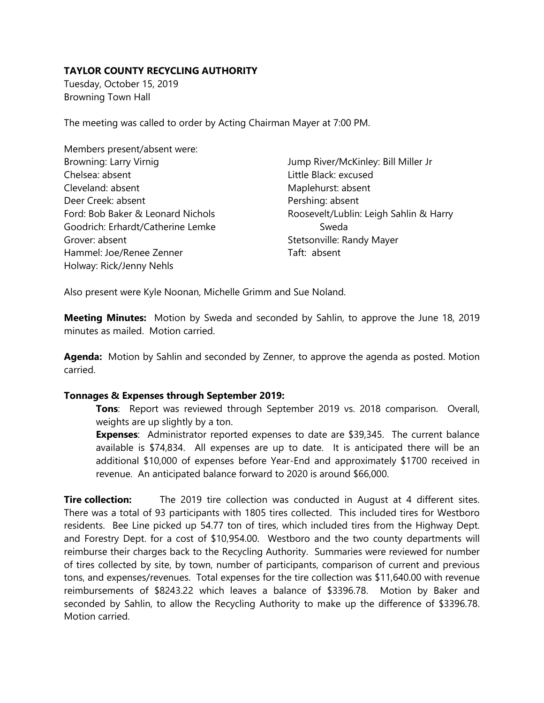## **TAYLOR COUNTY RECYCLING AUTHORITY**

Tuesday, October 15, 2019 Browning Town Hall

The meeting was called to order by Acting Chairman Mayer at 7:00 PM.

| Members present/absent were:      |                                        |
|-----------------------------------|----------------------------------------|
| Browning: Larry Virnig            | Jump River/McKinley: Bill Miller Jr    |
| Chelsea: absent                   | Little Black: excused                  |
| Cleveland: absent                 | Maplehurst: absent                     |
| Deer Creek: absent                | Pershing: absent                       |
| Ford: Bob Baker & Leonard Nichols | Roosevelt/Lublin: Leigh Sahlin & Harry |
| Goodrich: Erhardt/Catherine Lemke | Sweda                                  |
| Grover: absent                    | Stetsonville: Randy Mayer              |
| Hammel: Joe/Renee Zenner          | Taft: absent                           |
| Holway: Rick/Jenny Nehls          |                                        |

Also present were Kyle Noonan, Michelle Grimm and Sue Noland.

**Meeting Minutes:** Motion by Sweda and seconded by Sahlin, to approve the June 18, 2019 minutes as mailed. Motion carried.

**Agenda:** Motion by Sahlin and seconded by Zenner, to approve the agenda as posted. Motion carried.

## **Tonnages & Expenses through September 2019:**

**Tons**: Report was reviewed through September 2019 vs. 2018 comparison. Overall, weights are up slightly by a ton.

**Expenses**: Administrator reported expenses to date are \$39,345. The current balance available is \$74,834. All expenses are up to date. It is anticipated there will be an additional \$10,000 of expenses before Year-End and approximately \$1700 received in revenue. An anticipated balance forward to 2020 is around \$66,000.

**Tire collection:** The 2019 tire collection was conducted in August at 4 different sites. There was a total of 93 participants with 1805 tires collected. This included tires for Westboro residents. Bee Line picked up 54.77 ton of tires, which included tires from the Highway Dept. and Forestry Dept. for a cost of \$10,954.00. Westboro and the two county departments will reimburse their charges back to the Recycling Authority. Summaries were reviewed for number of tires collected by site, by town, number of participants, comparison of current and previous tons, and expenses/revenues. Total expenses for the tire collection was \$11,640.00 with revenue reimbursements of \$8243.22 which leaves a balance of \$3396.78. Motion by Baker and seconded by Sahlin, to allow the Recycling Authority to make up the difference of \$3396.78. Motion carried.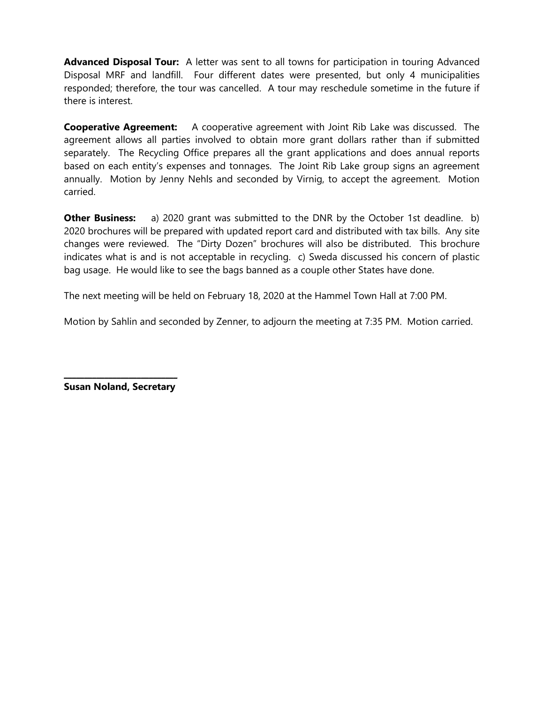**Advanced Disposal Tour:** A letter was sent to all towns for participation in touring Advanced Disposal MRF and landfill. Four different dates were presented, but only 4 municipalities responded; therefore, the tour was cancelled. A tour may reschedule sometime in the future if there is interest.

**Cooperative Agreement:** A cooperative agreement with Joint Rib Lake was discussed. The agreement allows all parties involved to obtain more grant dollars rather than if submitted separately. The Recycling Office prepares all the grant applications and does annual reports based on each entity's expenses and tonnages. The Joint Rib Lake group signs an agreement annually. Motion by Jenny Nehls and seconded by Virnig, to accept the agreement. Motion carried.

**Other Business:** a) 2020 grant was submitted to the DNR by the October 1st deadline. b) 2020 brochures will be prepared with updated report card and distributed with tax bills. Any site changes were reviewed. The "Dirty Dozen" brochures will also be distributed. This brochure indicates what is and is not acceptable in recycling. c) Sweda discussed his concern of plastic bag usage. He would like to see the bags banned as a couple other States have done.

The next meeting will be held on February 18, 2020 at the Hammel Town Hall at 7:00 PM.

Motion by Sahlin and seconded by Zenner, to adjourn the meeting at 7:35 PM. Motion carried.

\_\_\_\_\_\_\_\_\_\_\_\_\_\_\_\_\_\_\_\_\_\_\_\_\_\_\_\_ **Susan Noland, Secretary**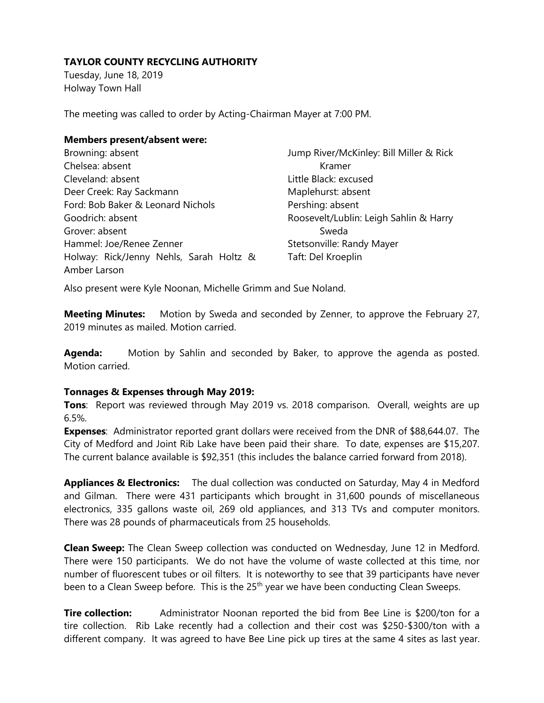# **TAYLOR COUNTY RECYCLING AUTHORITY**

Tuesday, June 18, 2019 Holway Town Hall

The meeting was called to order by Acting-Chairman Mayer at 7:00 PM.

#### **Members present/absent were:**

| Browning: absent                        | Jump River/McKinley: Bill Miller & Rick |
|-----------------------------------------|-----------------------------------------|
| Chelsea: absent                         | Kramer                                  |
| Cleveland: absent                       | Little Black: excused                   |
| Deer Creek: Ray Sackmann                | Maplehurst: absent                      |
| Ford: Bob Baker & Leonard Nichols       | Pershing: absent                        |
| Goodrich: absent                        | Roosevelt/Lublin: Leigh Sahlin & Harry  |
| Grover: absent                          | Sweda                                   |
| Hammel: Joe/Renee Zenner                | Stetsonville: Randy Mayer               |
| Holway: Rick/Jenny Nehls, Sarah Holtz & | Taft: Del Kroeplin                      |
| Amber Larson                            |                                         |

Also present were Kyle Noonan, Michelle Grimm and Sue Noland.

**Meeting Minutes:** Motion by Sweda and seconded by Zenner, to approve the February 27, 2019 minutes as mailed. Motion carried.

**Agenda:** Motion by Sahlin and seconded by Baker, to approve the agenda as posted. Motion carried.

## **Tonnages & Expenses through May 2019:**

**Tons**: Report was reviewed through May 2019 vs. 2018 comparison. Overall, weights are up 6.5%.

**Expenses**: Administrator reported grant dollars were received from the DNR of \$88,644.07. The City of Medford and Joint Rib Lake have been paid their share. To date, expenses are \$15,207. The current balance available is \$92,351 (this includes the balance carried forward from 2018).

**Appliances & Electronics:** The dual collection was conducted on Saturday, May 4 in Medford and Gilman. There were 431 participants which brought in 31,600 pounds of miscellaneous electronics, 335 gallons waste oil, 269 old appliances, and 313 TVs and computer monitors. There was 28 pounds of pharmaceuticals from 25 households.

**Clean Sweep:** The Clean Sweep collection was conducted on Wednesday, June 12 in Medford. There were 150 participants. We do not have the volume of waste collected at this time, nor number of fluorescent tubes or oil filters. It is noteworthy to see that 39 participants have never been to a Clean Sweep before. This is the 25<sup>th</sup> year we have been conducting Clean Sweeps.

**Tire collection:** Administrator Noonan reported the bid from Bee Line is \$200/ton for a tire collection. Rib Lake recently had a collection and their cost was \$250-\$300/ton with a different company. It was agreed to have Bee Line pick up tires at the same 4 sites as last year.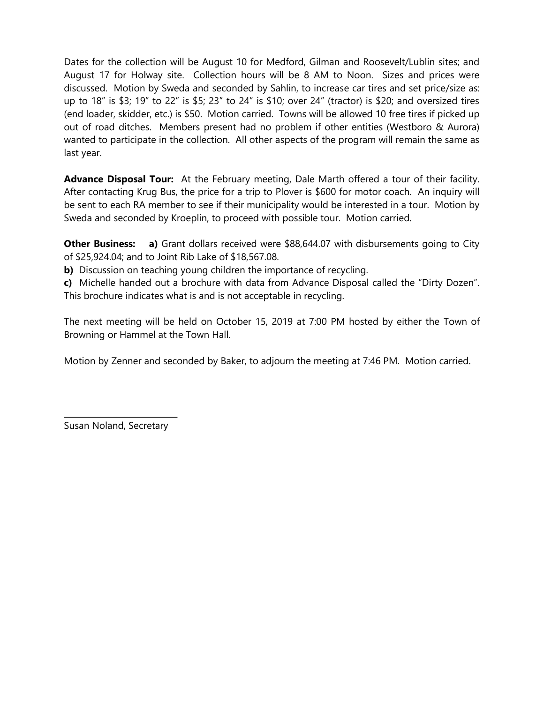Dates for the collection will be August 10 for Medford, Gilman and Roosevelt/Lublin sites; and August 17 for Holway site. Collection hours will be 8 AM to Noon. Sizes and prices were discussed. Motion by Sweda and seconded by Sahlin, to increase car tires and set price/size as: up to 18" is \$3; 19" to 22" is \$5; 23" to 24" is \$10; over 24" (tractor) is \$20; and oversized tires (end loader, skidder, etc.) is \$50. Motion carried. Towns will be allowed 10 free tires if picked up out of road ditches. Members present had no problem if other entities (Westboro & Aurora) wanted to participate in the collection. All other aspects of the program will remain the same as last year.

**Advance Disposal Tour:** At the February meeting, Dale Marth offered a tour of their facility. After contacting Krug Bus, the price for a trip to Plover is \$600 for motor coach. An inquiry will be sent to each RA member to see if their municipality would be interested in a tour. Motion by Sweda and seconded by Kroeplin, to proceed with possible tour. Motion carried.

**Other Business:** a) Grant dollars received were \$88,644.07 with disbursements going to City of \$25,924.04; and to Joint Rib Lake of \$18,567.08.

**b)** Discussion on teaching young children the importance of recycling.

**c)** Michelle handed out a brochure with data from Advance Disposal called the "Dirty Dozen". This brochure indicates what is and is not acceptable in recycling.

The next meeting will be held on October 15, 2019 at 7:00 PM hosted by either the Town of Browning or Hammel at the Town Hall.

Motion by Zenner and seconded by Baker, to adjourn the meeting at 7:46 PM. Motion carried.

\_\_\_\_\_\_\_\_\_\_\_\_\_\_\_\_\_\_\_\_\_\_\_\_\_\_\_\_ Susan Noland, Secretary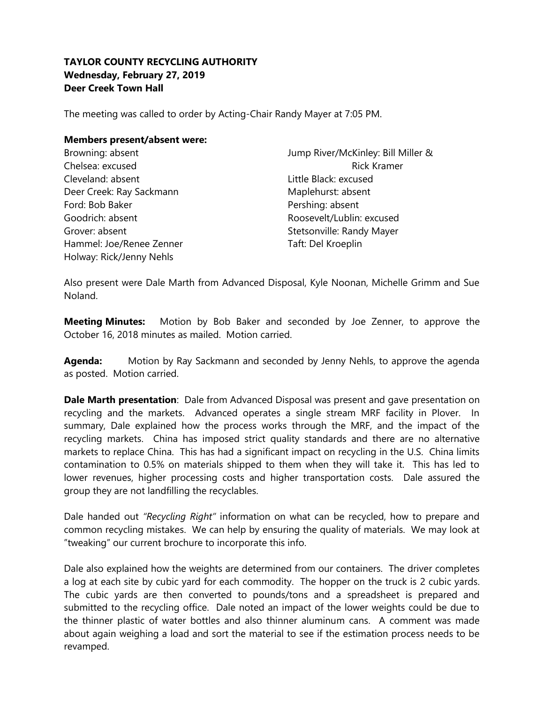# **TAYLOR COUNTY RECYCLING AUTHORITY Wednesday, February 27, 2019 Deer Creek Town Hall**

The meeting was called to order by Acting-Chair Randy Mayer at 7:05 PM.

#### **Members present/absent were:**

| Browning: absent         | Jump River/McKinley: Bill Miller & |
|--------------------------|------------------------------------|
| Chelsea: excused         | <b>Rick Kramer</b>                 |
| Cleveland: absent        | Little Black: excused              |
| Deer Creek: Ray Sackmann | Maplehurst: absent                 |
| Ford: Bob Baker          | Pershing: absent                   |
| Goodrich: absent         | Roosevelt/Lublin: excused          |
| Grover: absent           | Stetsonville: Randy Mayer          |
| Hammel: Joe/Renee Zenner | Taft: Del Kroeplin                 |
| Holway: Rick/Jenny Nehls |                                    |

Also present were Dale Marth from Advanced Disposal, Kyle Noonan, Michelle Grimm and Sue Noland.

**Meeting Minutes:** Motion by Bob Baker and seconded by Joe Zenner, to approve the October 16, 2018 minutes as mailed. Motion carried.

**Agenda:** Motion by Ray Sackmann and seconded by Jenny Nehls, to approve the agenda as posted. Motion carried.

**Dale Marth presentation**: Dale from Advanced Disposal was present and gave presentation on recycling and the markets. Advanced operates a single stream MRF facility in Plover. In summary, Dale explained how the process works through the MRF, and the impact of the recycling markets. China has imposed strict quality standards and there are no alternative markets to replace China. This has had a significant impact on recycling in the U.S. China limits contamination to 0.5% on materials shipped to them when they will take it. This has led to lower revenues, higher processing costs and higher transportation costs. Dale assured the group they are not landfilling the recyclables.

Dale handed out *"Recycling Right"* information on what can be recycled, how to prepare and common recycling mistakes. We can help by ensuring the quality of materials. We may look at "tweaking" our current brochure to incorporate this info.

Dale also explained how the weights are determined from our containers. The driver completes a log at each site by cubic yard for each commodity. The hopper on the truck is 2 cubic yards. The cubic yards are then converted to pounds/tons and a spreadsheet is prepared and submitted to the recycling office. Dale noted an impact of the lower weights could be due to the thinner plastic of water bottles and also thinner aluminum cans. A comment was made about again weighing a load and sort the material to see if the estimation process needs to be revamped.